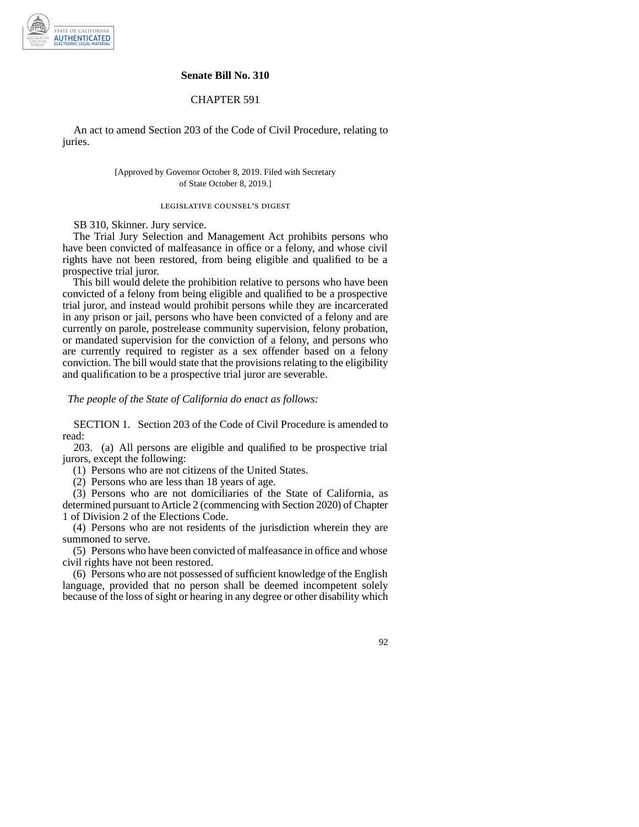

## **Senate Bill No. 310**

## CHAPTER 591

An act to amend Section 203 of the Code of Civil Procedure, relating to juries.

> [Approved by Governor October 8, 2019. Filed with Secretary of State October 8, 2019.]

## legislative counsel' s digest

SB 310, Skinner. Jury service.

The Trial Jury Selection and Management Act prohibits persons who have been convicted of malfeasance in office or a felony, and whose civil rights have not been restored, from being eligible and qualified to be a prospective trial juror.

This bill would delete the prohibition relative to persons who have been convicted of a felony from being eligible and qualified to be a prospective trial juror, and instead would prohibit persons while they are incarcerated in any prison or jail, persons who have been convicted of a felony and are currently on parole, postrelease community supervision, felony probation, or mandated supervision for the conviction of a felony, and persons who are currently required to register as a sex offender based on a felony conviction. The bill would state that the provisions relating to the eligibility and qualification to be a prospective trial juror are severable.

*The people of the State of California do enact as follows:* 

SECTION 1. Section 203 of the Code of Civil Procedure is amended to read:

203. (a) All persons are eligible and qualified to be prospective trial jurors, except the following:

(1) Persons who are not citizens of the United States.

(2) Persons who are less than 18 years of age.

(3) Persons who are not domiciliaries of the State of California, as determined pursuant to Article 2 (commencing with Section 2020) of Chapter 1 of Division 2 of the Elections Code.

(4) Persons who are not residents of the jurisdiction wherein they are summoned to serve.

(5) Persons who have been convicted of malfeasance in office and whose civil rights have not been restored.

(6) Persons who are not possessed of sufficient knowledge of the English language, provided that no person shall be deemed incompetent solely because of the loss of sight or hearing in any degree or other disability which

92